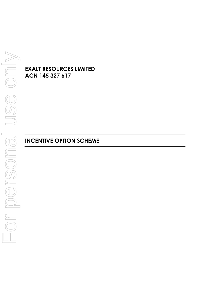**EXALT RESOURCES LIMITED ACN 145 327 617**

# **INCENTIVE OPTION SCHEME**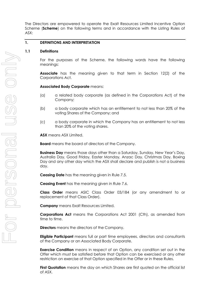The Directors are empowered to operate the Exalt Resources Limited Incentive Option Scheme (**Scheme**) on the following terms and in accordance with the Listing Rules of ASX:

#### **1. DEFINITIONS AND INTERPRETATION**

#### **1.1 Definitions**

For the purposes of the Scheme, the following words have the following meanings:

**Associate** has the meaning given to that term in Section 12(2) of the Corporations Act.

#### **Associated Body Corporate** means:

- (a) a related body corporate (as defined in the Corporations Act) of the Company;
- (b) a body corporate which has an entitlement to not less than 20% of the voting Shares of the Company; and
- (c) a body corporate in which the Company has an entitlement to not less than 20% of the voting shares.

**ASX** means ASX Limited.

**Board** means the board of directors of the Company.

**Business Day** means those days other than a Saturday, Sunday, New Year's Day, Australia Day, Good Friday, Easter Monday, Anzac Day, Christmas Day, Boxing Day and any other day which the ASX shall declare and publish is not a business day.

**Ceasing Date** has the meaning given in Rule [7.5.](#page-7-0)

**Ceasing Event** has the meaning given in Rule [7.6.](#page-7-1)

**Class Order** means ASIC Class Order 03/184 (or any amendment to or replacement of that Class Order).

**Company** means Exalt Resources Limited.

**Corporations Act** means the Corporations Act 2001 (Cth), as amended from time to time.

**Directors** means the directors of the Company.

**Eligible Participant** means full or part time employees, directors and consultants of the Company or an Associated Body Corporate.

**Exercise Condition** means in respect of an Option, any condition set out in the Offer which must be satisfied before that Option can be exercised or any other restriction on exercise of that Option specified in the Offer or in these Rules.

**First Quotation** means the day on which Shares are first quoted on the official list of ASX.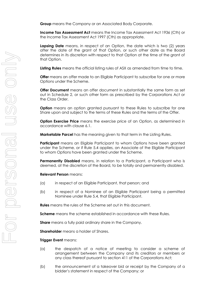**Group** means the Company or an Associated Body Corporate.

**Income Tax Assessment Act** means the Income Tax Assessment Act 1936 (Cth) or the Income Tax Assessment Act 1997 (Cth) as appropriate.

**Lapsing Date** means, in respect of an Option, the date which is two (2) years after the date of the grant of that Option, or such other date as the Board determines in its discretion with respect to that Option at the time of the grant of that Option.

**Listing Rules** means the official listing rules of ASX as amended from time to time.

**Offer** means an offer made to an Eligible Participant to subscribe for one or more Options under the Scheme.

**Offer Document** means an offer document in substantially the same form as set out in Schedule 2, or such other form as prescribed by the Corporations Act or the Class Order.

**Option** means an option granted pursuant to these Rules to subscribe for one Share upon and subject to the terms of these Rules and the terms of the Offer.

**Option Exercise Price** means the exercise price of an Option, as determined in accordance with clause [6.1.](#page-5-0)

**Marketable Parcel** has the meaning given to that term in the Listing Rules.

**Participant** means an Eligible Participant to whom Options have been granted under the Scheme, or if Rule [5.4](#page-5-1) applies, an Associate of the Eligible Participant to whom Options have been granted under the Scheme.

**Permanently Disabled** means, in relation to a Participant, a Participant who is deemed, at the discretion of the Board, to be totally and permanently disabled.

#### **Relevant Person** means:

- (a) in respect of an Eligible Participant, that person; and
- (b) in respect of a Nominee of an Eligible Participant being a permitted Nominee under Rule [5.4,](#page-5-1) that Eligible Participant.

**Rules** means the rules of the Scheme set out in this document.

**Scheme** means the scheme established in accordance with these Rules.

**Share** means a fully paid ordinary share in the Company.

**Shareholder** means a holder of Shares.

#### **Trigger Event** means:

- (a) the despatch of a notice of meeting to consider a scheme of arrangement between the Company and its creditors or members or any class thereof pursuant to section 411 of the Corporations Act;
- (b) the announcement of a takeover bid or receipt by the Company of a bidder's statement in respect of the Company; or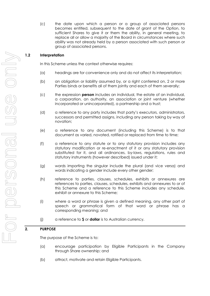(c) the date upon which a person or a group of associated persons becomes entitled, subsequent to the date of grant of the Option, to sufficient Shares to give it or them the ability, in general meeting, to replace all or allow a majority of the Board in circumstances where such ability was not already held by a person associated with such person or group of associated persons.

# **1.2 Interpretation**

In this Scheme unless the context otherwise requires:

- (a) headings are for convenience only and do not affect its interpretation;
- (b) an obligation or liability assumed by, or a right conferred on, 2 or more Parties binds or benefits all of them jointly and each of them severally;
- (c) the expression **person** includes an individual, the estate of an individual, a corporation, an authority, an association or joint venture (whether incorporated or unincorporated), a partnership and a trust;
- (d) a reference to any party includes that party's executors, administrators, successors and permitted assigns, including any person taking by way of novation;
- (e) a reference to any document (including this Scheme) is to that document as varied, novated, ratified or replaced from time to time;
- (f) a reference to any statute or to any statutory provision includes any statutory modification or re-enactment of it or any statutory provision substituted for it, and all ordinances, by-laws, regulations, rules and statutory instruments (however described) issued under it;
- (g) words importing the singular include the plural (and vice versa) and words indicating a gender include every other gender;
- (h) reference to parties, clauses, schedules, exhibits or annexures are references to parties, clauses, schedules, exhibits and annexures to or of this Scheme and a reference to this Scheme includes any schedule, exhibit or annexure to this Scheme;
- (i) where a word or phrase is given a defined meaning, any other part of speech or grammatical form of that word or phrase has a corresponding meaning; and
- (j) a reference to **\$** or **dollar** is to Australian currency.

# **2. PURPOSE**

The purpose of the Scheme is to:

- (a) encourage participation by Eligible Participants in the Company through Share ownership; and
- (b) attract, motivate and retain Eligible Participants.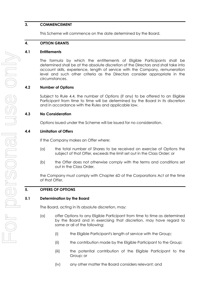#### **3. COMMENCEMENT**

This Scheme will commence on the date determined by the Board.

## **4. OPTION GRANTS**

#### **4.1 Entitlements**

The formula by which the entitlements of Eligible Participants shall be determined shall be at the absolute discretion of the Directors and shall take into account skills, experience, length of service with the Company, remuneration level and such other criteria as the Directors consider appropriate in the circumstances.

## **4.2 Number of Options**

Subject to Rule [4.4,](#page-4-0) the number of Options (if any) to be offered to an Eligible Participant from time to time will be determined by the Board in its discretion and in accordance with the Rules and applicable law.

## **4.3 No Consideration**

Options issued under the Scheme will be issued for no consideration.

## <span id="page-4-0"></span>**4.4 Limitation of Offers**

If the Company makes an Offer where:

- (a) the total number of Shares to be received on exercise of Options the subject of that Offer, exceeds the limit set out in the Class Order; or
- (b) the Offer does not otherwise comply with the terms and conditions set out in the Class Order,

the Company must comply with Chapter 6D of the Corporations Act at the time of that Offer.

## **5. OFFERS OF OPTIONS**

#### **5.1 Determination by the Board**

The Board, acting in its absolute discretion, may:

- (a) offer Options to any Eligible Participant from time to time as determined by the Board and in exercising that discretion, may have regard to some or all of the following:
	- (i) the Eligible Participant's length of service with the Group;
	- (ii) the contribution made by the Eligible Participant to the Group;
	- (iii) the potential contribution of the Eligible Participant to the Group; or
	- (iv) any other matter the Board considers relevant; and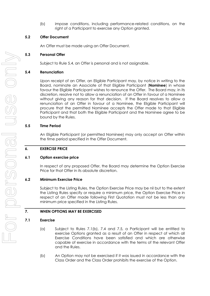(b) impose conditions, including performance-related conditions, on the right of a Participant to exercise any Option granted.

#### **5.2 Offer Document**

An Offer must be made using an Offer Document.

#### **5.3 Personal Offer**

Subject to Rule [5.4,](#page-5-1) an Offer is personal and is not assignable.

#### <span id="page-5-1"></span>**5.4 Renunciation**

Upon receipt of an Offer, an Eligible Participant may, by notice in writing to the Board, nominate an Associate of that Eligible Participant (**Nominee**) in whose favour the Eligible Participant wishes to renounce the Offer. The Board may, in its discretion, resolve not to allow a renunciation of an Offer in favour of a Nominee without giving any reason for that decision. If the Board resolves to allow a renunciation of an Offer in favour of a Nominee, the Eligible Participant will procure that the permitted Nominee accepts the Offer made to that Eligible Participant and that both the Eligible Participant and the Nominee agree to be bound by the Rules.

#### **5.5 Time Period**

An Eligible Participant (or permitted Nominee) may only accept an Offer within the time period specified in the Offer Document.

## **6. EXERCISE PRICE**

#### <span id="page-5-0"></span>**6.1 Option exercise price**

In respect of any proposed Offer, the Board may determine the Option Exercise Price for that Offer in its absolute discretion.

#### **6.2 Minimum Exercise Price**

Subject to the Listing Rules, the Option Exercise Price may be nil but to the extent the Listing Rules specify or require a minimum price, the Option Exercise Price in respect of an Offer made following First Quotation must not be less than any minimum price specified in the Listing Rules.

## **7. WHEN OPTIONS MAY BE EXERCISED**

#### <span id="page-5-3"></span>**7.1 Exercise**

- (a) Subject to Rules [7.1\(b\),](#page-5-2) [7.4](#page-6-0) and [7.5,](#page-7-0) a Participant will be entitled to exercise Options granted as a result of an Offer in respect of which all Exercise Conditions have been satisfied and which are otherwise capable of exercise in accordance with the terms of the relevant Offer and the Rules.
- <span id="page-5-2"></span>(b) An Option may not be exercised if it was issued in accordance with the Class Order and the Class Order prohibits the exercise of the Option.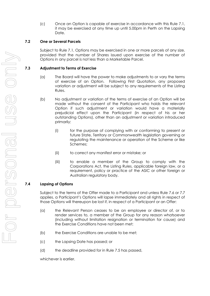(c) Once an Option is capable of exercise in accordance with this Rule [7.1,](#page-5-3) it may be exercised at any time up until 5.00pm in Perth on the Lapsing Date.

#### **7.2 One or Several Parcels**

Subject to Rule [7.1,](#page-5-3) Options may be exercised in one or more parcels of any size, provided that the number of Shares issued upon exercise of the number of Options in any parcel is not less than a Marketable Parcel.

#### **7.3 Adjustment to Terms of Exercise**

- (a) The Board will have the power to make adjustments to or vary the terms of exercise of an Option. Following First Quotation, any proposed variation or adjustment will be subject to any requirements of the Listing Rules.
- (b) No adjustment or variation of the terms of exercise of an Option will be made without the consent of the Participant who holds the relevant Option if such adjustment or variation would have a materially prejudicial effect upon the Participant (in respect of his or her outstanding Options), other than an adjustment or variation introduced primarily:
	- (i) for the purpose of complying with or conforming to present or future State, Territory or Commonwealth legislation governing or regulating the maintenance or operation of the Scheme or like Schemes;
	- (ii) to correct any manifest error or mistake; or
	- (iii) to enable a member of the Group to comply with the Corporations Act, the Listing Rules, applicable foreign law, or a requirement, policy or practice of the ASIC or other foreign or Australian regulatory body.

## <span id="page-6-0"></span>**7.4 Lapsing of Options**

Subject to the terms of the Offer made to a Participant and unless Rule [7.6](#page-7-1) or [7.7](#page-8-0) applies, a Participant's Options will lapse immediately and all rights in respect of those Options will thereupon be lost if, in respect of a Participant or an Offer:

- (a) the Relevant Person ceases to be an employee or director of, or to render services to, a member of the Group for any reason whatsoever (including without limitation resignation or termination for cause) and the Exercise Conditions have not been met;
- (b) the Exercise Conditions are unable to be met;
- (c) the Lapsing Date has passed; or
- (d) the deadline provided for in Rule [7.5](#page-7-0) has passed,

whichever is earlier.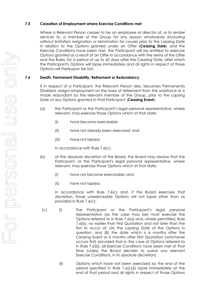#### <span id="page-7-0"></span>**7.5 Cessation of Employment where Exercise Conditions met**

Where a Relevant Person ceases to be an employee or director of, or to render services to, a member of the Group for any reason whatsoever (including without limitation resignation or termination for cause) prior to the Lapsing Date in relation to the Options granted under an Offer (**Ceasing Date**) and the Exercise Conditions have been met, the Participant will be entitled to exercise Options granted as a result of an Offer in accordance with the terms of the Offer and the Rules, for a period of up to 60 days after the Ceasing Date, after which the Participant's Options will lapse immediately and all rights in respect of those Options will thereupon be lost.

## <span id="page-7-1"></span>**7.6 Death, Permanent Disability, Retirement or Redundancy**

If in respect of a Participant, the Relevant Person dies, becomes Permanently Disabled, resigns employment on the basis of retirement from the workforce or is made redundant by the relevant member of the Group, prior to the Lapsing Date of any Options granted to that Participant (**Ceasing Event**):

- <span id="page-7-3"></span>(a) the Participant or the Participant's legal personal representative, where relevant, may exercise those Options which at that date:
	- (i) have become exercisable;
	- (ii) have not already been exercised; and
	- (iii) have not lapsed,

in accordance with Rule [7.6\(c\);](#page-7-2)

- <span id="page-7-4"></span>(b) at the absolute discretion of the Board, the Board may resolve that the Participant, or the Participant's legal personal representative, where relevant, may exercise those Options which at that date:
	- (i) have not become exercisable; and
	- (ii) have not lapsed,

in accordance with Rule [7.6\(c\)](#page-7-2) and, if the Board exercises that discretion, those unexercisable Options will not lapse other than as provided in Rule [7.6\(c\);](#page-7-2)

- <span id="page-7-5"></span><span id="page-7-2"></span>(c) (i) The Participant or the Participant's legal personal representative (as the case may be) must exercise the Options referred to in Rule [7.6\(a\)](#page-7-3) and, where permitted, Rule [7.6\(b\),](#page-7-4) no earlier than First Quotation and not later than the first to occur of: (A) the Lapsing Date of the Options in question; and (B) the date which is 6 months after the Ceasing Event or 6 months after First Quotation (whichever occurs first) provided that in the case of Options referred to in Rule [7.6\(b\),](#page-7-4) all Exercise Conditions have been met at that time (unless the Board decides to waive any relevant Exercise Conditions, in its absolute discretion).
	- (ii) Options which have not been exercised by the end of the period specified in Rule [7.6\(c\)\(i\)](#page-7-5) lapse immediately at the end of that period and all rights in respect of those Options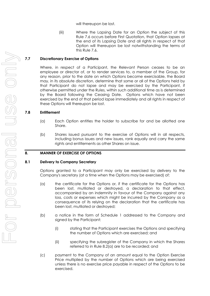will thereupon be lost.

(iii) Where the Lapsing Date for an Option the subject of this Rule [7.6](#page-7-1) occurs before First Quotation, that Option lapses at the end of its Lapsing Date and all rights in respect of that Option will thereupon be lost notwithstanding the terms of this Rule [7.6.](#page-7-1)

## <span id="page-8-0"></span>**7.7 Discretionary Exercise of Options**

Where, in respect of a Participant, the Relevant Person ceases to be an employee or director of, or to render services to, a member of the Group, for any reason, prior to the date on which Options become exercisable, the Board may, in its absolute discretion, determine that some or all of the Options held by that Participant do not lapse and may be exercised by the Participant, if otherwise permitted under the Rules, within such additional time as is determined by the Board following the Ceasing Date. Options which have not been exercised by the end of that period lapse immediately and all rights in respect of these Options will thereupon be lost.

#### **7.8 Entitlement**

- (a) Each Option entitles the holder to subscribe for and be allotted one Share.
- (b) Shares issued pursuant to the exercise of Options will in all respects, including bonus issues and new issues, rank equally and carry the same rights and entitlements as other Shares on issue.

## **8. MANNER OF EXERCISE OF OPTIONS**

#### <span id="page-8-1"></span>**8.1 Delivery to Company Secretary**

Options granted to a Participant may only be exercised by delivery to the Company's secretary (at a time when the Options may be exercised) of:

- <span id="page-8-2"></span>(a) the certificate for the Options or, if the certificate for the Options has been lost, mutilated or destroyed, a declaration to that effect, accompanied by an indemnity in favour of the Company against any loss, costs or expenses which might be incurred by the Company as a consequence of its relying on the declaration that the certificate has been lost, mutilated or destroyed;
- (b) a notice in the form of Schedule 1 addressed to the Company and signed by the Participant:
	- (i) stating that the Participant exercises the Options and specifying the number of Options which are exercised; and
	- (ii) specifying the subregister of the Company in which the Shares referred to in Rule [8.2\(a\)](#page-9-0) are to be recorded; and
- (c) payment to the Company of an amount equal to the Option Exercise Price multiplied by the number of Options which are being exercised unless there is no exercise price payable in respect of the Options to be exercised.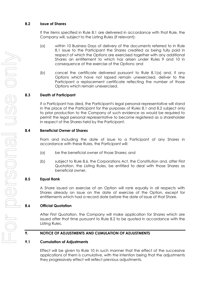#### <span id="page-9-1"></span>**8.2 Issue of Shares**

If the items specified in Rule [8.1](#page-8-1) are delivered in accordance with that Rule, the Company will, subject to the Listing Rules (if relevant):

- <span id="page-9-0"></span>(a) within 10 Business Days of delivery of the documents referred to in Rule [8.1](#page-8-1) issue to the Participant the Shares credited as being fully paid in respect of which the Options are exercised together with any additional Shares an entitlement to which has arisen under Rules 9 and 10 in consequence of the exercise of the Options; and
- (b) cancel the certificate delivered pursuant to Rule [8.1\(a\)](#page-8-2) and, if any Options which have not lapsed remain unexercised, deliver to the Participant a replacement certificate reflecting the number of those Options which remain unexercised.

## **8.3 Death of Participant**

If a Participant has died, the Participant's legal personal representative will stand in the place of the Participant for the purposes of Rules [8.1](#page-8-1) and [8.2](#page-9-1) subject only to prior production to the Company of such evidence as would be required to permit the legal personal representative to become registered as a shareholder in respect of the Shares held by the Participant.

## **8.4 Beneficial Owner of Shares**

From and including the date of issue to a Participant of any Shares in accordance with these Rules, the Participant will:

- (a) be the beneficial owner of those Shares; and
- (b) subject to Rule [8.6,](#page-9-2) the Corporations Act, the Constitution and, after First Quotation, the Listing Rules, be entitled to deal with those Shares as beneficial owner.

## **8.5 Equal Rank**

A Share issued on exercise of an Option will rank equally in all respects with Shares already on issue on the date of exercise of the Option, except for entitlements which had a record date before the date of issue of that Share.

## <span id="page-9-2"></span>**8.6 Official Quotation**

After First Quotation, the Company will make application for Shares which are issued after that time pursuant to Rule [8.2](#page-9-1) to be quoted in accordance with the Listing Rules.

# **9. NOTICE OF ADJUSTMENTS AND CUMULATION OF ADJUSTMENTS**

## **9.1 Cumulation of Adjustments**

Effect will be given to Rule 10 in such manner that the effect of the successive applications of them is cumulative, with the intention being that the adjustments they progressively effect will reflect previous adjustments.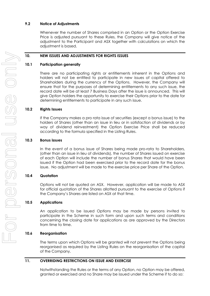#### **9.2 Notice of Adjustments**

Whenever the number of Shares comprised in an Option or the Option Exercise Price is adjusted pursuant to these Rules, the Company will give notice of the adjustment to the Participant and ASX together with calculations on which the adjustment is based.

## **10. NEW ISSUES AND ADJUSTMENTS FOR RIGHTS ISSUES**

#### **10.1 Participation generally**

There are no participating rights or entitlements inherent in the Options and holders will not be entitled to participate in new issues of capital offered to Shareholders during the currency of the Options. However, the Company will ensure that for the purposes of determining entitlements to any such issue, the record date will be at least 7 Business Days after the issue is announced. This will give Option holders the opportunity to exercise their Options prior to the date for determining entitlements to participate in any such issue.

## **10.2 Rights Issues**

If the Company makes a pro rata issue of securities (except a bonus issue) to the holders of Shares (other than an issue in lieu or in satisfaction of dividends or by way of dividend reinvestment) the Option Exercise Price shall be reduced according to the formula specified in the Listing Rules.

#### **10.3 Bonus issues**

In the event of a bonus issue of Shares being made pro-rata to Shareholders, (other than an issue in lieu of dividends), the number of Shares issued on exercise of each Option will include the number of bonus Shares that would have been issued if the Option had been exercised prior to the record date for the bonus issue. No adjustment will be made to the exercise price per Share of the Option.

## **10.4 Quotation**

Options will not be quoted on ASX. However, application will be made to ASX for official quotation of the Shares allotted pursuant to the exercise of Options if the Company's Shares are listed on ASX at that time.

## **10.5 Applications**

An application to be issued Options may be made by persons invited to participate in the Scheme in such form and upon such terms and conditions concerning the closing date for applications as are approved by the Directors from time to time.

## **10.6 Reorganisation**

The terms upon which Options will be granted will not prevent the Options being reorganised as required by the Listing Rules on the reorganisation of the capital of the Company.

#### **11. OVERRIDING RESTRICTIONS ON ISSUE AND EXERCISE**

Notwithstanding the Rules or the terms of any Option, no Option may be offered, granted or exercised and no Share may be issued under the Scheme if to do so: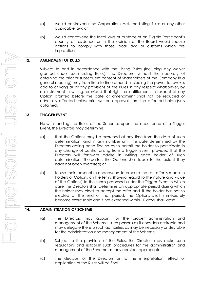- (a) would contravene the Corporations Act, the Listing Rules or any other applicable law; or
- (b) would contravene the local laws or customs of an Eligible Participant's country of residence or in the opinion of the Board would require actions to comply with those local laws or customs which are impractical.

## **12. AMENDMENT OF RULES**

Subject to and in accordance with the Listing Rules (including any waiver granted under such Listing Rules), the Directors (without the necessity of obtaining the prior or subsequent consent of Shareholders of the Company in a general meeting) may from time to time amend (including the power to revoke, add to or vary) all or any provisions of the Rules in any respect whatsoever, by an instrument in writing, provided that rights or entitlements in respect of any Option granted before the date of amendment shall not be reduced or adversely affected unless prior written approval from the affected holder(s) is obtained.

## **13. TRIGGER EVENT**

Notwithstanding the Rules of the Scheme, upon the occurrence of a Trigger Event, the Directors may determine:

- (a) that the Options may be exercised at any time from the date of such determination, and in any number until the date determined by the Directors acting bona fide so as to permit the holder to participate in any change of control arising from a Trigger Event, provided that the Directors will forthwith advise in writing each holder of such determination. Thereafter, the Options shall lapse to the extent they have not been exercised; or
- (b) to use their reasonable endeavours to procure that an offer is made to holders of Options on like terms (having regard to the nature and value of the Options) to the terms proposed under the Trigger Event in which case the Directors shall determine an appropriate period during which the holder may elect to accept the offer and, if the holder has not so elected at the end of that period, the Options shall immediately become exercisable and if not exercised within 10 days, shall lapse.

## **14. ADMINISTRATION OF SCHEME**

- (a) The Directors may appoint for the proper administration and management of the Scheme, such persons as it considers desirable and may delegate thereto such authorities as may be necessary or desirable for the administration and management of the Scheme.
- (b) Subject to the provisions of the Rules, the Directors may make such regulations and establish such procedures for the administration and management of the Scheme as they consider appropriate.
- (c) The decision of the Directors as to the interpretation, effect or application of the Rules will be final.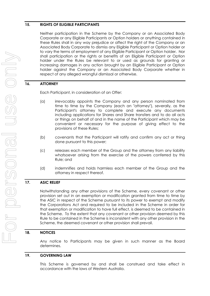#### **15. RIGHTS OF ELIGIBLE PARTICIPANTS**

Neither participation in the Scheme by the Company or an Associated Body Corporate or any Eligible Participants or Option holders or anything contained in these Rules shall in any way prejudice or affect the right of the Company or an Associated Body Corporate to dismiss any Eligible Participant or Option holder or to vary the terms of employment of any Eligible Participant or Option holder. Nor shall participation or the rights or benefits of an Eligible Participant or Option holder under the Rules be relevant to or used as grounds for granting or increasing damages in any action brought by an Eligible Participant or Option holder against the Company or an Associated Body Corporate whether in respect of any alleged wrongful dismissal or otherwise.

## **16. ATTORNEY**

Each Participant, in consideration of an Offer:

- (a) irrevocably appoints the Company and any person nominated from time to time by the Company (each an "attorney"), severally, as the Participant's attorney to complete and execute any documents including applications for Shares and Share transfers and to do all acts or things on behalf of and in the name of the Participant which may be convenient or necessary for the purpose of giving effect to the provisions of these Rules;
- (b) covenants that the Participant will ratify and confirm any act or thing done pursuant to this power;
- (c) releases each member of the Group and the attorney from any liability whatsoever arising from the exercise of the powers conferred by this Rule; and
- (d) indemnifies and holds harmless each member of the Group and the attorney in respect thereof.

## **17. ASIC RELIEF**

Notwithstanding any other provisions of the Scheme, every covenant or other provision set out in an exemption or modification granted from time to time by the ASIC in respect of the Scheme pursuant to its power to exempt and modify the Corporations Act and required to be included in the Scheme in order for that exemption or modification to have full effect, is deemed to be contained in the Scheme. To the extent that any covenant or other provision deemed by this Rule to be contained in the Scheme is inconsistent with any other provision in the Scheme, the deemed covenant or other provision shall prevail.

#### **18. NOTICES**

Any notice to Participants may be given in such manner as the Board determines.

#### **19. GOVERNING LAW**

This Scheme is governed by and shall be construed and take effect in accordance with the laws of Western Australia.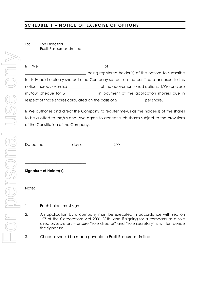# **SCHEDULE 1 – NOTICE OF EXERCISE OF OPTIONS**

To: The Directors Exalt Resources Limited

| $\frac{1}{2}$<br>We | Ωt                                                                                       |  |  |  |
|---------------------|------------------------------------------------------------------------------------------|--|--|--|
|                     | being registered holder(s) of the options to subscribe                                   |  |  |  |
|                     | for fully paid ordinary shares in the Company set out on the certificate annexed to this |  |  |  |
|                     | notice, hereby exercise<br>of the abovementioned options. I/We enclose                   |  |  |  |
|                     | my/our cheque for $\frac{2}{3}$<br>in payment of the application monies due in           |  |  |  |
|                     | respect of those shares calculated on the basis of \$<br>per share.                      |  |  |  |

I/ We authorise and direct the Company to register me/us as the holder(s) of the shares to be allotted to me/us and I/we agree to accept such shares subject to the provisions of the Constitution of the Company.

Dated the day of 200

**Signature of Holder(s)**

Note:

1. Each holder must sign.

\_\_\_\_\_\_\_\_\_\_\_\_\_\_\_\_\_\_\_\_\_\_\_\_\_\_\_\_\_\_\_\_\_

- 2. An application by a company must be executed in accordance with section 127 of the Corporations Act 2001 (Cth) and if signing for a company as a sole director/secretary – ensure "sole director" and "sole secretary" is written beside the signature.
- 3. Cheques should be made payable to Exalt Resources Limited.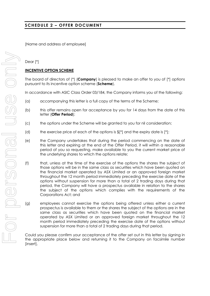[Name and address of employee]

## Dear [\*]

## **INCENTIVE OPTION SCHEME**

The board of directors of (\*) (**Company**) is pleased to make an offer to you of [\*] options pursuant to its incentive option scheme (**Scheme**).

In accordance with ASIC Class Order 03/184, the Company informs you of the following:

- (a) accompanying this letter is a full copy of the terms of the Scheme;
- (b) this offer remains open for acceptance by you for 14 days from the date of this letter (**Offer Period**);
- (c) the options under the Scheme will be granted to you for nil consideration;
- (d) the exercise price of each of the options is  $\frac{1}{2}$  and the expiry date is  $[*]$ ;
- (e) the Company undertakes that during the period commencing on the date of this letter and expiring at the end of the Offer Period, it will within a reasonable period of you so requesting, make available to you the current market price of the underlying shares to which the options relate;
- (f) that, unless at the time of the exercise of the options the shares the subject of those options will be in the same class as securities which have been quoted on the financial market operated by ASX Limited or an approved foreign market throughout the 12 month period immediately preceding the exercise date of the options without suspension for more than a total of 2 trading days during that period, the Company will have a prospectus available in relation to the shares the subject of the options which complies with the requirements of the Corporations Act; and
- (g) employees cannot exercise the options being offered unless either a current prospectus is available to them or the shares the subject of the options are in the same class as securities which have been quoted on the financial market operated by ASX Limited or an approved foreign market throughout the 12 month period immediately preceding the exercise date of the options without suspension for more than a total of 2 trading days during that period.

Could you please confirm your acceptance of the offer set out in this letter by signing in the appropriate place below and returning it to the Company on facsimile number [insert].